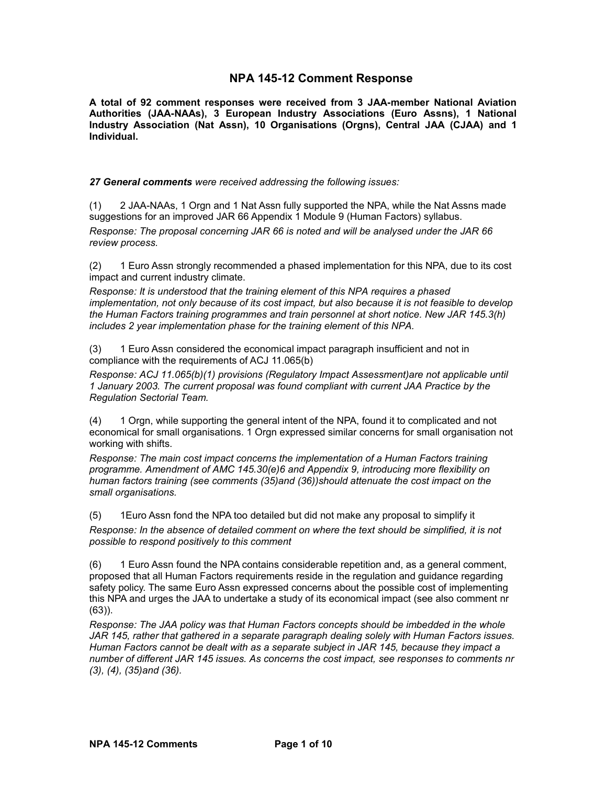## **NPA 145-12 Comment Response**

**A total of 92 comment responses were received from 3 JAA-member National Aviation Authorities (JAA-NAAs), 3 European Industry Associations (Euro Assns), 1 National Industry Association (Nat Assn), 10 Organisations (Orgns), Central JAA (CJAA) and 1 Individual.**

*27 General comments were received addressing the following issues:*

(1) 2 JAA-NAAs, 1 Orgn and 1 Nat Assn fully supported the NPA, while the Nat Assns made suggestions for an improved JAR 66 Appendix 1 Module 9 (Human Factors) syllabus.

*Response: The proposal concerning JAR 66 is noted and will be analysed under the JAR 66 review process.*

(2) 1 Euro Assn strongly recommended a phased implementation for this NPA, due to its cost impact and current industry climate.

*Response: It is understood that the training element of this NPA requires a phased implementation, not only because of its cost impact, but also because it is not feasible to develop the Human Factors training programmes and train personnel at short notice. New JAR 145.3(h) includes 2 year implementation phase for the training element of this NPA.*

<span id="page-0-1"></span>(3) 1 Euro Assn considered the economical impact paragraph insufficient and not in compliance with the requirements of ACJ 11.065(b)

*Response: ACJ 11.065(b)(1) provisions (Regulatory Impact Assessment)are not applicable until 1 January 2003. The current proposal was found compliant with current JAA Practice by the Regulation Sectorial Team.*

<span id="page-0-0"></span>(4) 1 Orgn, while supporting the general intent of the NPA, found it to complicated and not economical for small organisations. 1 Orgn expressed similar concerns for small organisation not working with shifts.

*Response: The main cost impact concerns the implementation of a Human Factors training programme. Amendment of AMC 145.30(e)6 and Appendix 9, introducing more flexibility on human factors training (see comments [\(35\)a](#page-4-0)nd [\(36\)\)](#page-4-1)should attenuate the cost impact on the small organisations.*

(5) 1Euro Assn fond the NPA too detailed but did not make any proposal to simplify it

*Response: In the absence of detailed comment on where the text should be simplified, it is not possible to respond positively to this comment*

(6) 1 Euro Assn found the NPA contains considerable repetition and, as a general comment, proposed that all Human Factors requirements reside in the regulation and guidance regarding safety policy. The same Euro Assn expressed concerns about the possible cost of implementing this NPA and urges the JAA to undertake a study of its economical impact (see also comment n[r](#page-8-0) [\(63\)\)](#page-8-0).

*Response: The JAA policy was that Human Factors concepts should be imbedded in the whole JAR 145, rather that gathered in a separate paragraph dealing solely with Human Factors issues. Human Factors cannot be dealt with as a separate subject in JAR 145, because they impact a number of different JAR 145 issues. As concerns the cost impact, see responses to comments nr [\(3\),](#page-0-1) [\(4\),](#page-0-0) [\(35\)a](#page-4-0)nd [\(36\).](#page-4-1)*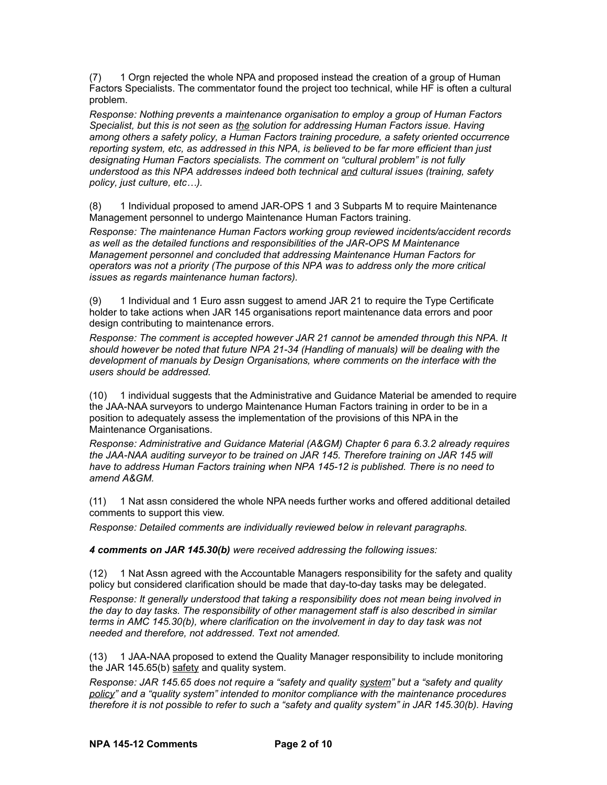(7) 1 Orgn rejected the whole NPA and proposed instead the creation of a group of Human Factors Specialists. The commentator found the project too technical, while HF is often a cultural problem.

*Response: Nothing prevents a maintenance organisation to employ a group of Human Factors Specialist, but this is not seen as the solution for addressing Human Factors issue. Having among others a safety policy, a Human Factors training procedure, a safety oriented occurrence reporting system, etc, as addressed in this NPA, is believed to be far more efficient than just designating Human Factors specialists. The comment on "cultural problem" is not fully understood as this NPA addresses indeed both technical and cultural issues (training, safety policy, just culture, etc…).*

(8) 1 Individual proposed to amend JAR-OPS 1 and 3 Subparts M to require Maintenance Management personnel to undergo Maintenance Human Factors training.

*Response: The maintenance Human Factors working group reviewed incidents/accident records as well as the detailed functions and responsibilities of the JAR-OPS M Maintenance Management personnel and concluded that addressing Maintenance Human Factors for operators was not a priority (The purpose of this NPA was to address only the more critical issues as regards maintenance human factors).*

(9) 1 Individual and 1 Euro assn suggest to amend JAR 21 to require the Type Certificate holder to take actions when JAR 145 organisations report maintenance data errors and poor design contributing to maintenance errors.

*Response: The comment is accepted however JAR 21 cannot be amended through this NPA. It should however be noted that future NPA 21-34 (Handling of manuals) will be dealing with the development of manuals by Design Organisations, where comments on the interface with the users should be addressed.*

(10) 1 individual suggests that the Administrative and Guidance Material be amended to require the JAA-NAA surveyors to undergo Maintenance Human Factors training in order to be in a position to adequately assess the implementation of the provisions of this NPA in the Maintenance Organisations.

*Response: Administrative and Guidance Material (A&GM) Chapter 6 para 6.3.2 already requires the JAA-NAA auditing surveyor to be trained on JAR 145. Therefore training on JAR 145 will have to address Human Factors training when NPA 145-12 is published. There is no need to amend A&GM.*

(11) 1 Nat assn considered the whole NPA needs further works and offered additional detailed comments to support this view.

*Response: Detailed comments are individually reviewed below in relevant paragraphs.*

*4 comments on JAR 145.30(b) were received addressing the following issues:*

(12) 1 Nat Assn agreed with the Accountable Managers responsibility for the safety and quality policy but considered clarification should be made that day-to-day tasks may be delegated.

*Response: It generally understood that taking a responsibility does not mean being involved in the day to day tasks. The responsibility of other management staff is also described in similar terms in AMC 145.30(b), where clarification on the involvement in day to day task was not needed and therefore, not addressed. Text not amended.*

<span id="page-1-0"></span>(13) 1 JAA-NAA proposed to extend the Quality Manager responsibility to include monitoring the JAR 145.65(b)  $s$ afety and quality system.

*Response: JAR 145.65 does not require a "safety and quality system" but a "safety and quality policy" and a "quality system" intended to monitor compliance with the maintenance procedures therefore it is not possible to refer to such a "safety and quality system" in JAR 145.30(b). Having*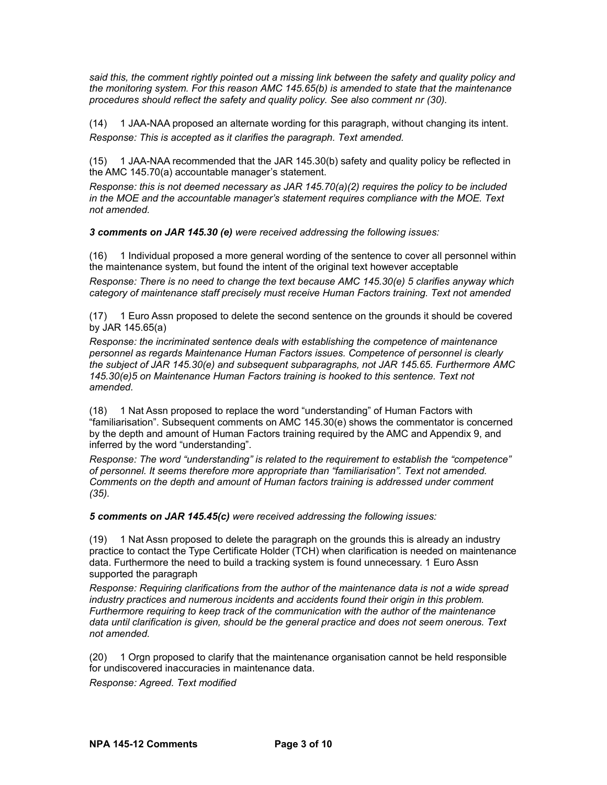*said this, the comment rightly pointed out a missing link between the safety and quality policy and the monitoring system. For this reason AMC 145.65(b) is amended to state that the maintenance procedures should reflect the safety and quality policy. See also comment nr [\(30\).](#page-4-2)*

(14) 1 JAA-NAA proposed an alternate wording for this paragraph, without changing its intent. *Response: This is accepted as it clarifies the paragraph. Text amended.*

(15) 1 JAA-NAA recommended that the JAR 145.30(b) safety and quality policy be reflected in the AMC 145.70(a) accountable manager's statement.

*Response: this is not deemed necessary as JAR 145.70(a)(2) requires the policy to be included in the MOE and the accountable manager's statement requires compliance with the MOE. Text not amended.*

*3 comments on JAR 145.30 (e) were received addressing the following issues:*

(16) 1 Individual proposed a more general wording of the sentence to cover all personnel within the maintenance system, but found the intent of the original text however acceptable

*Response: There is no need to change the text because AMC 145.30(e) 5 clarifies anyway which category of maintenance staff precisely must receive Human Factors training. Text not amended*

(17) 1 Euro Assn proposed to delete the second sentence on the grounds it should be covered by JAR 145.65(a)

*Response: the incriminated sentence deals with establishing the competence of maintenance personnel as regards Maintenance Human Factors issues. Competence of personnel is clearly the subject of JAR 145.30(e) and subsequent subparagraphs, not JAR 145.65. Furthermore AMC 145.30(e)5 on Maintenance Human Factors training is hooked to this sentence. Text not amended.*

(18) 1 Nat Assn proposed to replace the word "understanding" of Human Factors with "familiarisation". Subsequent comments on AMC 145.30(e) shows the commentator is concerned by the depth and amount of Human Factors training required by the AMC and Appendix 9, and inferred by the word "understanding".

*Response: The word "understanding" is related to the requirement to establish the "competence" of personnel. It seems therefore more appropriate than "familiarisation". Text not amended. Comments on the depth and amount of Human factors training is addressed under comment [\(35\).](#page-4-0)*

*5 comments on JAR 145.45(c) were received addressing the following issues:*

(19) 1 Nat Assn proposed to delete the paragraph on the grounds this is already an industry practice to contact the Type Certificate Holder (TCH) when clarification is needed on maintenance data. Furthermore the need to build a tracking system is found unnecessary. 1 Euro Assn supported the paragraph

*Response: Requiring clarifications from the author of the maintenance data is not a wide spread industry practices and numerous incidents and accidents found their origin in this problem. Furthermore requiring to keep track of the communication with the author of the maintenance data until clarification is given, should be the general practice and does not seem onerous. Text not amended.*

(20) 1 Orgn proposed to clarify that the maintenance organisation cannot be held responsible for undiscovered inaccuracies in maintenance data.

*Response: Agreed. Text modified*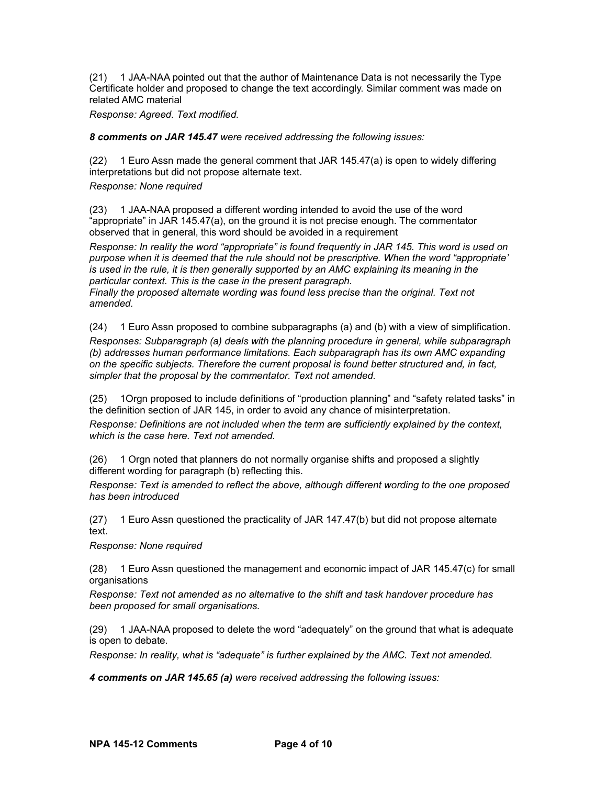(21) 1 JAA-NAA pointed out that the author of Maintenance Data is not necessarily the Type Certificate holder and proposed to change the text accordingly. Similar comment was made on related AMC material

*Response: Agreed. Text modified.*

*8 comments on JAR 145.47 were received addressing the following issues:*

(22) 1 Euro Assn made the general comment that JAR 145.47(a) is open to widely differing interpretations but did not propose alternate text.

*Response: None required*

(23) 1 JAA-NAA proposed a different wording intended to avoid the use of the word "appropriate" in JAR 145.47(a), on the ground it is not precise enough. The commentator observed that in general, this word should be avoided in a requirement

*Response: In reality the word "appropriate" is found frequently in JAR 145. This word is used on purpose when it is deemed that the rule should not be prescriptive. When the word "appropriate' is used in the rule, it is then generally supported by an AMC explaining its meaning in the particular context. This is the case in the present paragraph.* 

*Finally the proposed alternate wording was found less precise than the original. Text not amended.*

(24) 1 Euro Assn proposed to combine subparagraphs (a) and (b) with a view of simplification.

*Responses: Subparagraph (a) deals with the planning procedure in general, while subparagraph (b) addresses human performance limitations. Each subparagraph has its own AMC expanding on the specific subjects. Therefore the current proposal is found better structured and, in fact, simpler that the proposal by the commentator. Text not amended.*

(25) 1Orgn proposed to include definitions of "production planning" and "safety related tasks" in the definition section of JAR 145, in order to avoid any chance of misinterpretation.

*Response: Definitions are not included when the term are sufficiently explained by the context, which is the case here. Text not amended.*

(26) 1 Orgn noted that planners do not normally organise shifts and proposed a slightly different wording for paragraph (b) reflecting this.

*Response: Text is amended to reflect the above, although different wording to the one proposed has been introduced*

(27) 1 Euro Assn questioned the practicality of JAR 147.47(b) but did not propose alternate text.

*Response: None required*

(28) 1 Euro Assn questioned the management and economic impact of JAR 145.47(c) for small organisations

*Response: Text not amended as no alternative to the shift and task handover procedure has been proposed for small organisations.* 

(29) 1 JAA-NAA proposed to delete the word "adequately" on the ground that what is adequate is open to debate.

*Response: In reality, what is "adequate" is further explained by the AMC. Text not amended.*

*4 comments on JAR 145.65 (a) were received addressing the following issues:*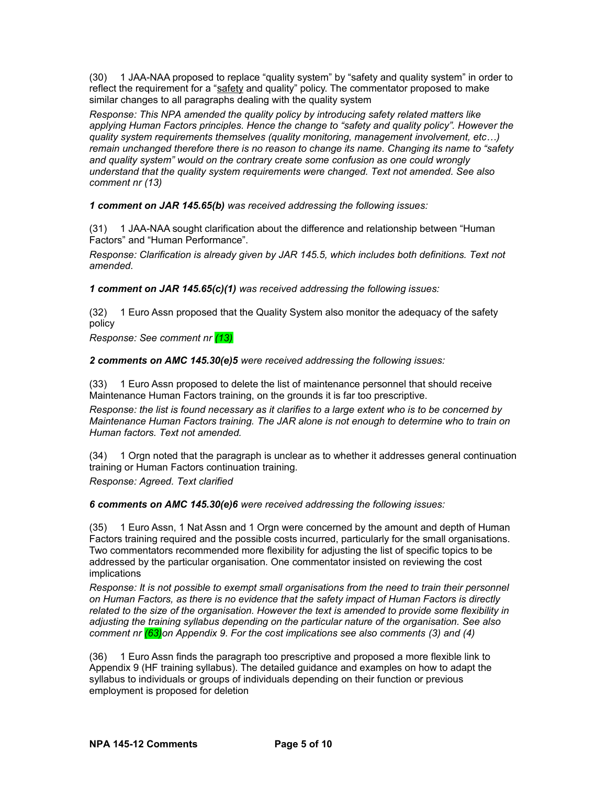<span id="page-4-2"></span>(30) 1 JAA-NAA proposed to replace "quality system" by "safety and quality system" in order to reflect the requirement for a "safety and quality" policy. The commentator proposed to make similar changes to all paragraphs dealing with the quality system

*Response: This NPA amended the quality policy by introducing safety related matters like applying Human Factors principles. Hence the change to "safety and quality policy". However the quality system requirements themselves (quality monitoring, management involvement, etc…) remain unchanged therefore there is no reason to change its name. Changing its name to "safety and quality system" would on the contrary create some confusion as one could wrongly understand that the quality system requirements were changed. Text not amended. See also comment nr [\(13\)](#page-1-0)*

*1 comment on JAR 145.65(b) was received addressing the following issues:*

(31) 1 JAA-NAA sought clarification about the difference and relationship between "Human Factors" and "Human Performance".

*Response: Clarification is already given by JAR 145.5, which includes both definitions. Text not amended.*

*1 comment on JAR 145.65(c)(1) was received addressing the following issues:*

(32) 1 Euro Assn proposed that the Quality System also monitor the adequacy of the safety policy

*Response: See comment nr [\(13\)](#page-1-0)*

*2 comments on AMC 145.30(e)5 were received addressing the following issues:*

(33) 1 Euro Assn proposed to delete the list of maintenance personnel that should receive Maintenance Human Factors training, on the grounds it is far too prescriptive.

*Response: the list is found necessary as it clarifies to a large extent who is to be concerned by Maintenance Human Factors training. The JAR alone is not enough to determine who to train on Human factors. Text not amended.*

(34) 1 Orgn noted that the paragraph is unclear as to whether it addresses general continuation training or Human Factors continuation training.

*Response: Agreed. Text clarified*

*6 comments on AMC 145.30(e)6 were received addressing the following issues:*

<span id="page-4-0"></span>(35) 1 Euro Assn, 1 Nat Assn and 1 Orgn were concerned by the amount and depth of Human Factors training required and the possible costs incurred, particularly for the small organisations. Two commentators recommended more flexibility for adjusting the list of specific topics to be addressed by the particular organisation. One commentator insisted on reviewing the cost implications

*Response: It is not possible to exempt small organisations from the need to train their personnel on Human Factors, as there is no evidence that the safety impact of Human Factors is directly related to the size of the organisation. However the text is amended to provide some flexibility in adjusting the training syllabus depending on the particular nature of the organisation. See also comment nr [\(63\)o](#page-8-0)n Appendix 9. For the cost implications see also comments [\(3\)](#page-0-1) and [\(4\)](#page-0-0)*

<span id="page-4-1"></span>(36) 1 Euro Assn finds the paragraph too prescriptive and proposed a more flexible link to Appendix 9 (HF training syllabus). The detailed guidance and examples on how to adapt the syllabus to individuals or groups of individuals depending on their function or previous employment is proposed for deletion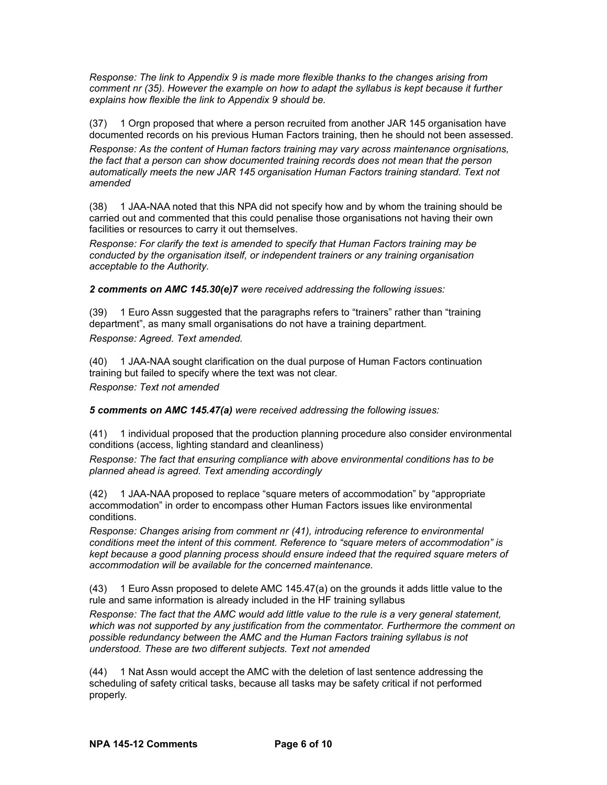*Response: The link to Appendix 9 is made more flexible thanks to the changes arising from comment nr [\(35\).](#page-4-0) However the example on how to adapt the syllabus is kept because it further explains how flexible the link to Appendix 9 should be.* 

(37) 1 Orgn proposed that where a person recruited from another JAR 145 organisation have documented records on his previous Human Factors training, then he should not been assessed.

*Response: As the content of Human factors training may vary across maintenance orgnisations, the fact that a person can show documented training records does not mean that the person automatically meets the new JAR 145 organisation Human Factors training standard. Text not amended*

(38) 1 JAA-NAA noted that this NPA did not specify how and by whom the training should be carried out and commented that this could penalise those organisations not having their own facilities or resources to carry it out themselves.

*Response: For clarify the text is amended to specify that Human Factors training may be conducted by the organisation itself, or independent trainers or any training organisation acceptable to the Authority.*

*2 comments on AMC 145.30(e)7 were received addressing the following issues:*

(39) 1 Euro Assn suggested that the paragraphs refers to "trainers" rather than "training department", as many small organisations do not have a training department. *Response: Agreed. Text amended.*

(40) 1 JAA-NAA sought clarification on the dual purpose of Human Factors continuation training but failed to specify where the text was not clear. *Response: Text not amended*

*5 comments on AMC 145.47(a) were received addressing the following issues:*

<span id="page-5-0"></span>(41) 1 individual proposed that the production planning procedure also consider environmental conditions (access, lighting standard and cleanliness)

*Response: The fact that ensuring compliance with above environmental conditions has to be planned ahead is agreed. Text amending accordingly*

(42) 1 JAA-NAA proposed to replace "square meters of accommodation" by "appropriate accommodation" in order to encompass other Human Factors issues like environmental conditions.

*Response: Changes arising from comment nr [\(41\),](#page-5-0) introducing reference to environmental conditions meet the intent of this comment. Reference to "square meters of accommodation" is kept because a good planning process should ensure indeed that the required square meters of accommodation will be available for the concerned maintenance.*

(43) 1 Euro Assn proposed to delete AMC 145.47(a) on the grounds it adds little value to the rule and same information is already included in the HF training syllabus

*Response: The fact that the AMC would add little value to the rule is a very general statement, which was not supported by any justification from the commentator. Furthermore the comment on possible redundancy between the AMC and the Human Factors training syllabus is not understood. These are two different subjects. Text not amended* 

(44) 1 Nat Assn would accept the AMC with the deletion of last sentence addressing the scheduling of safety critical tasks, because all tasks may be safety critical if not performed properly.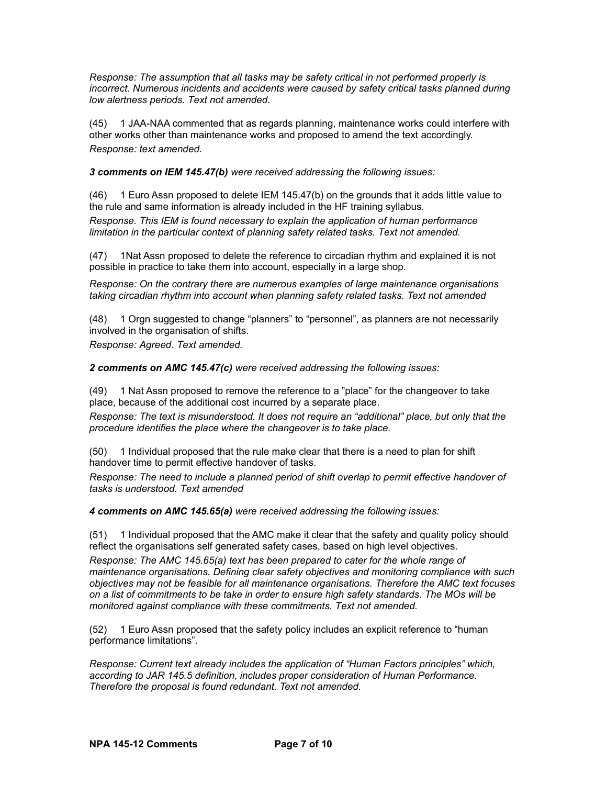*Response: The assumption that all tasks may be safety critical in not performed properly is incorrect. Numerous incidents and accidents were caused by safety critical tasks planned during low alertness periods. Text not amended.*

(45) 1 JAA-NAA commented that as regards planning, maintenance works could interfere with other works other than maintenance works and proposed to amend the text accordingly. *Response: text amended.*

*3 comments on IEM 145.47(b) were received addressing the following issues:*

(46) 1 Euro Assn proposed to delete IEM 145.47(b) on the grounds that it adds little value to the rule and same information is already included in the HF training syllabus.

*Response. This IEM is found necessary to explain the application of human performance limitation in the particular context of planning safety related tasks. Text not amended.* 

(47) 1Nat Assn proposed to delete the reference to circadian rhythm and explained it is not possible in practice to take them into account, especially in a large shop.

*Response: On the contrary there are numerous examples of large maintenance organisations taking circadian rhythm into account when planning safety related tasks. Text not amended*

(48) 1 Orgn suggested to change "planners" to "personnel", as planners are not necessarily involved in the organisation of shifts.

*Response: Agreed. Text amended.*

*2 comments on AMC 145.47(c) were received addressing the following issues:*

(49) 1 Nat Assn proposed to remove the reference to a "place" for the changeover to take place, because of the additional cost incurred by a separate place.

*Response: The text is misunderstood. It does not require an "additional" place, but only that the procedure identifies the place where the changeover is to take place.*

(50) 1 Individual proposed that the rule make clear that there is a need to plan for shift handover time to permit effective handover of tasks.

*Response: The need to include a planned period of shift overlap to permit effective handover of tasks is understood. Text amended*

*4 comments on AMC 145.65(a) were received addressing the following issues:*

(51) 1 Individual proposed that the AMC make it clear that the safety and quality policy should reflect the organisations self generated safety cases, based on high level objectives.

*Response: The AMC 145.65(a) text has been prepared to cater for the whole range of maintenance organisations. Defining clear safety objectives and monitoring compliance with such objectives may not be feasible for all maintenance organisations. Therefore the AMC text focuses on a list of commitments to be take in order to ensure high safety standards. The MOs will be monitored against compliance with these commitments. Text not amended.*

(52) 1 Euro Assn proposed that the safety policy includes an explicit reference to "human performance limitations".

*Response: Current text already includes the application of "Human Factors principles" which, according to JAR 145.5 definition, includes proper consideration of Human Performance. Therefore the proposal is found redundant. Text not amended.*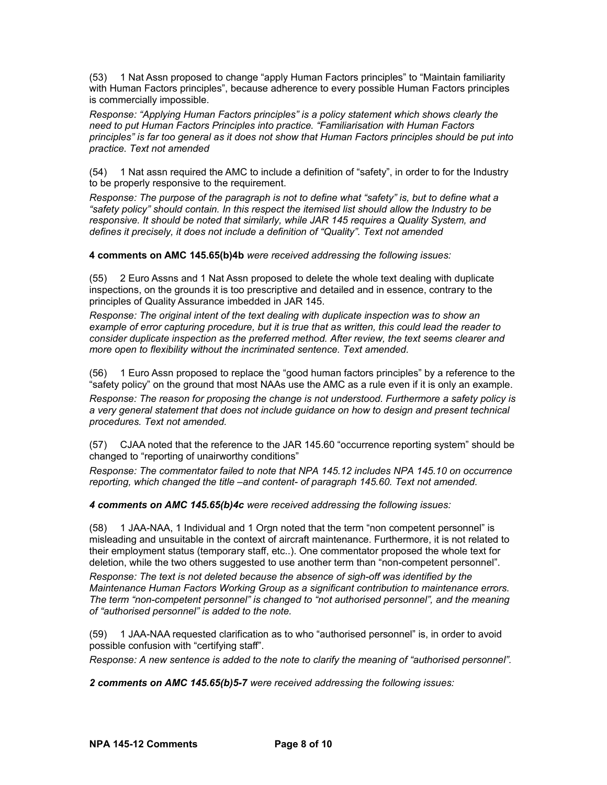(53) 1 Nat Assn proposed to change "apply Human Factors principles" to "Maintain familiarity with Human Factors principles", because adherence to every possible Human Factors principles is commercially impossible.

*Response: "Applying Human Factors principles" is a policy statement which shows clearly the need to put Human Factors Principles into practice. "Familiarisation with Human Factors principles" is far too general as it does not show that Human Factors principles should be put into practice. Text not amended*

(54) 1 Nat assn required the AMC to include a definition of "safety", in order to for the Industry to be properly responsive to the requirement.

*Response: The purpose of the paragraph is not to define what "safety" is, but to define what a "safety policy" should contain. In this respect the itemised list should allow the Industry to be responsive. It should be noted that similarly, while JAR 145 requires a Quality System, and defines it precisely, it does not include a definition of "Quality". Text not amended*

**4 comments on AMC 145.65(b)4b** *were received addressing the following issues:*

(55) 2 Euro Assns and 1 Nat Assn proposed to delete the whole text dealing with duplicate inspections, on the grounds it is too prescriptive and detailed and in essence, contrary to the principles of Quality Assurance imbedded in JAR 145.

*Response: The original intent of the text dealing with duplicate inspection was to show an example of error capturing procedure, but it is true that as written, this could lead the reader to consider duplicate inspection as the preferred method. After review, the text seems clearer and more open to flexibility without the incriminated sentence. Text amended.*

(56) 1 Euro Assn proposed to replace the "good human factors principles" by a reference to the "safety policy" on the ground that most NAAs use the AMC as a rule even if it is only an example.

*Response: The reason for proposing the change is not understood. Furthermore a safety policy is a very general statement that does not include guidance on how to design and present technical procedures. Text not amended.*

(57) CJAA noted that the reference to the JAR 145.60 "occurrence reporting system" should be changed to "reporting of unairworthy conditions"

*Response: The commentator failed to note that NPA 145.12 includes NPA 145.10 on occurrence reporting, which changed the title –and content- of paragraph 145.60. Text not amended.*

*4 comments on AMC 145.65(b)4c were received addressing the following issues:*

(58) 1 JAA-NAA, 1 Individual and 1 Orgn noted that the term "non competent personnel" is misleading and unsuitable in the context of aircraft maintenance. Furthermore, it is not related to their employment status (temporary staff, etc..). One commentator proposed the whole text for deletion, while the two others suggested to use another term than "non-competent personnel".

*Response: The text is not deleted because the absence of sigh-off was identified by the Maintenance Human Factors Working Group as a significant contribution to maintenance errors. The term "non-competent personnel" is changed to "not authorised personnel", and the meaning of "authorised personnel" is added to the note.*

(59) 1 JAA-NAA requested clarification as to who "authorised personnel" is, in order to avoid possible confusion with "certifying staff".

*Response: A new sentence is added to the note to clarify the meaning of "authorised personnel".*

*2 comments on AMC 145.65(b)5-7 were received addressing the following issues:*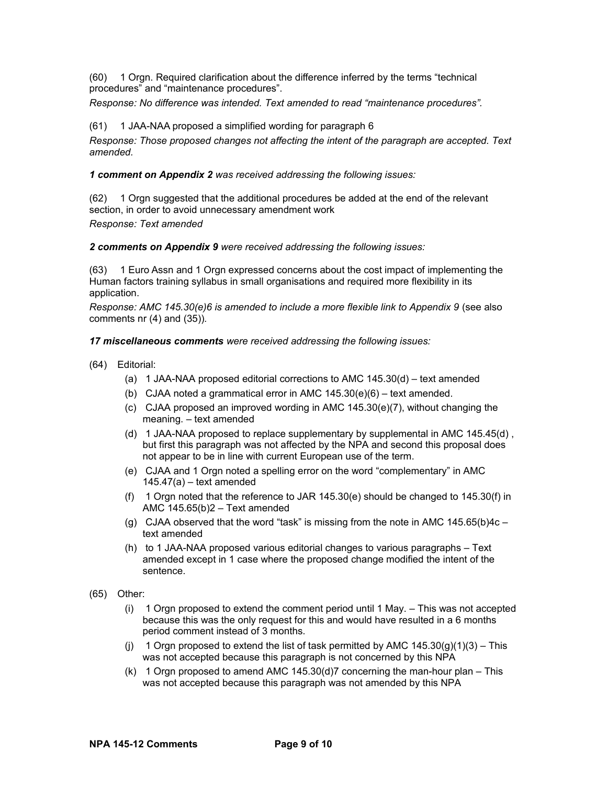(60) 1 Orgn. Required clarification about the difference inferred by the terms "technical procedures" and "maintenance procedures".

*Response: No difference was intended. Text amended to read "maintenance procedures".*

## (61) 1 JAA-NAA proposed a simplified wording for paragraph 6

*Response: Those proposed changes not affecting the intent of the paragraph are accepted. Text amended.*

*1 comment on Appendix 2 was received addressing the following issues:*

(62) 1 Orgn suggested that the additional procedures be added at the end of the relevant section, in order to avoid unnecessary amendment work *Response: Text amended*

*2 comments on Appendix 9 were received addressing the following issues:*

<span id="page-8-0"></span>(63) 1 Euro Assn and 1 Orgn expressed concerns about the cost impact of implementing the Human factors training syllabus in small organisations and required more flexibility in its application.

*Response: AMC 145.30(e)6 is amended to include a more flexible link to Appendix 9 (see also* comments nr [\(4\)](#page-0-0) and [\(35\)\)](#page-4-0)*.* 

*17 miscellaneous comments were received addressing the following issues:*

- (64) Editorial:
	- (a) 1 JAA-NAA proposed editorial corrections to AMC 145.30(d) text amended
	- (b) CJAA noted a grammatical error in AMC 145.30(e)(6) text amended.
	- (c) CJAA proposed an improved wording in AMC 145.30(e)(7), without changing the meaning. – text amended
	- (d) 1 JAA-NAA proposed to replace supplementary by supplemental in AMC 145.45(d) , but first this paragraph was not affected by the NPA and second this proposal does not appear to be in line with current European use of the term.
	- (e) CJAA and 1 Orgn noted a spelling error on the word "complementary" in AMC  $145.47(a) - text$  amended
	- (f) 1 Orgn noted that the reference to JAR 145.30(e) should be changed to 145.30(f) in AMC 145.65(b)2 – Text amended
	- (g) CJAA observed that the word "task" is missing from the note in AMC  $145.65(b)4c$ text amended
	- (h) to 1 JAA-NAA proposed various editorial changes to various paragraphs Text amended except in 1 case where the proposed change modified the intent of the sentence.
- (65) Other:
	- (i) 1 Orgn proposed to extend the comment period until 1 May. This was not accepted because this was the only request for this and would have resulted in a 6 months period comment instead of 3 months.
	- (i) 1 Orgn proposed to extend the list of task permitted by AMC  $145.30(g)(1)(3) -$ This was not accepted because this paragraph is not concerned by this NPA
	- (k) 1 Orgn proposed to amend AMC  $145.30(d)$ 7 concerning the man-hour plan This was not accepted because this paragraph was not amended by this NPA